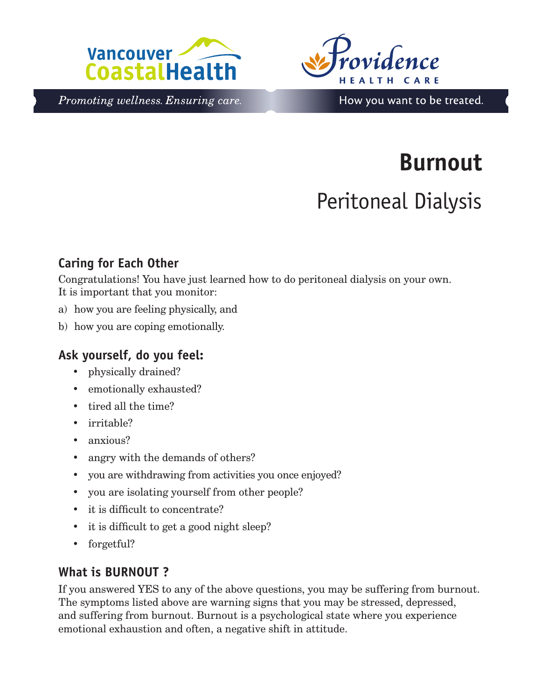



Promoting wellness. Ensuring care.

## How you want to be treated.

# **Burnout**

## Peritoneal Dialysis

### **Caring for Each Other**

Congratulations! You have just learned how to do peritoneal dialysis on your own. It is important that you monitor:

- a) how you are feeling physically, and
- b) how you are coping emotionally.

#### **Ask yourself, do you feel:**

- physically drained?
- emotionally exhausted?
- tired all the time?
- irritable?
- anxious?
- angry with the demands of others?
- you are withdrawing from activities you once enjoyed?
- you are isolating yourself from other people?
- it is difficult to concentrate?
- it is difficult to get a good night sleep?
- forgetful?

#### **What is BURNOUT ?**

If you answered YES to any of the above questions, you may be suffering from burnout. The symptoms listed above are warning signs that you may be stressed, depressed, and suffering from burnout. Burnout is a psychological state where you experience emotional exhaustion and often, a negative shift in attitude.